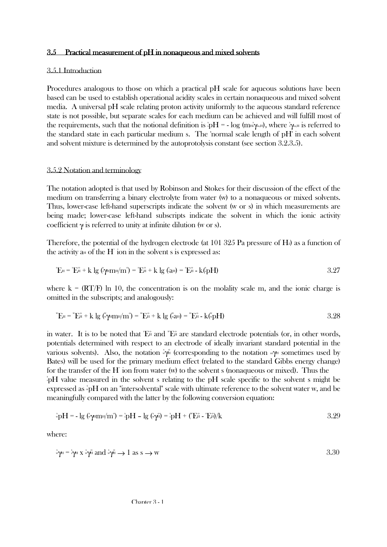### $3.5$  Practical measurement of pH in nonaqueous and mixed solvents

## 3.5.1 Introduction

Procedures analogous to those on which a practical pH scale for aqueous solutions have been based can be used to establish operational acidity scales in certain nonaqueous and mixed solvent media. A universal pH scale relating proton activity uniformly to the aqueous standard reference state is not possible, but separate scales for each medium can be achieved and will fulfill most of the requirements, such that the notional definition is  $pH = -\log(m_H)$ , where  $\gamma_H$  is referred to the standard state in each particular medium s. The 'normal scale length of pH' in each solvent and solvent mixture is determined by the autoprotolysis constant (see section 3.2.3.5).

#### 3.5.2 Notation and terminology

The notation adopted is that used by Robinson and Stokes for their discussion of the effect of the medium on transferring a binary electrolyte from water (w) to a nonaqueous or mixed solvents. Thus, lower-case left-hand superscripts indicate the solvent (w or s) in which measurements are being made; lower-case left-hand subscripts indicate the solvent in which the ionic activity coefficient  $\gamma$  is referred to unity at infinite dilution (w or s).

Therefore, the potential of the hydrogen electrode (at  $101\,325$  Pa pressure of H $_2$ ) as a function of the activity a<sup> $\rm H$ </sup> of the  $\rm H^+$  ion in the solvent s is expressed as:

$$
{}^{\circ}E_{\mu} = {}^{\circ}E_{\mu}^{\circ} + k \lg (\sqrt{m}\mu/m^{\circ}) = {}^{\circ}E_{\mu}^{\circ} + k \lg (\sqrt{a}\mu) = {}^{\circ}E_{\mu}^{\circ} - k({}^{\circ}_{\circ}pH) \tag{3.27}
$$

where  $k = (RT/F) \ln 10$ , the concentration is on the molality scale m, and the ionic charge is omitted in the subscripts; and analogously:

$$
{}^{w}E_{H} = {}^{w}E_{H}^{\circ} + k \lg \left( {}^{w}_{w}\psi_{!}m_{H}/m^{\circ} \right) = {}^{w}E_{H}^{\circ} + k \lg \left( {}^{w}_{w}a_{H} \right) = {}^{w}E_{H}^{\circ} - k({}^{w}_{w}pH) \tag{3.28}
$$

in water. It is to be noted that  $E^{\circ}$  and  $E^{\circ}$  are standard electrode potentials (or, in other words, potentials determined with respect to an electrode of ideally invariant standard potential in the various solvents). Also, the notation «γ<sup>β</sup> (corresponding to the notation «γ<sub>H</sub> sometimes used by Bates) will be used for the primary medium effect (related to the standard Gibbs energy change) for the transfer of the H+ ion from water (w) to the solvent s (nonaqueous or mixed). Thus the s spH value measured in the solvent s relating to the pH scale specific to the solvent s might be expressed as  $\mathrm{PH}$  on an "intersolvental" scale with ultimate reference to the solvent water w, and be meaningfully compared with the latter by the following conversion equation:

$$
\mathrm{E}_{\mathrm{w}}\mathrm{p}H = -\lg\left(\mathrm{E}_{\mathrm{w}}\mathrm{m}\mathrm{m}\right)\mathrm{m}^{\mathrm{s}}\mathrm{p}^{\mathrm{s}}\mathrm{p}^{\mathrm{s}}H - \lg\left(\mathrm{E}_{\mathrm{w}}\mathrm{p}\mathrm{m}\right) = \mathrm{E}_{\mathrm{p}}\mathrm{p}^{\mathrm{s}}H + \left(\mathrm{E}_{\mathrm{r}}\mathrm{m}^{\mathrm{s}} - \mathrm{E}_{\mathrm{r}}\mathrm{m}\right)/k
$$

where:

$$
\sqrt[5]{\gamma_{\text{H}}} = \sqrt[5]{\gamma_{\text{H}}} \times \sqrt[5]{\gamma_{\text{H}}} \text{ and } \sqrt[5]{\gamma_{\text{H}}} \to 1 \text{ as } s \to w
$$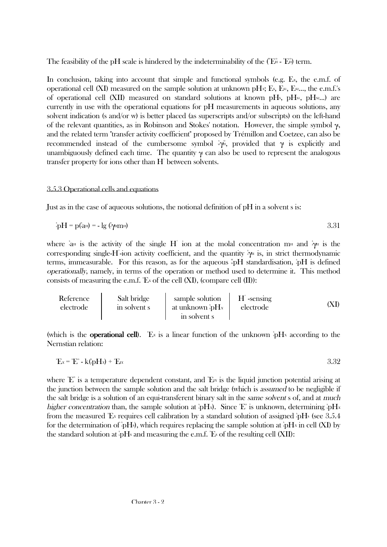The feasibility of the pH scale is hindered by the indeterminability of the  $(\mathbb{E}^n - \mathbb{E}^n)$  term.

In conclusion, taking into account that simple and functional symbols (e.g.  $E<sub>x</sub>$ , the e.m.f. of operational cell (XI) measured on the sample solution at unknown pHx; Es, E<sub>s1</sub>, E<sub>s2</sub>..., the e.m.f.'s of operational cell (XII) measured on standard solutions at known pHs, pHs<sub>1</sub>, pHs<sub>2</sub>...) are currently in use with the operational equations for pH measurements in aqueous solutions, any solvent indication (s and/or w) is better placed (as superscripts and/or subscripts) on the left-hand of the relevant quantities, as in Robinson and Stokes' notation. However, the simple symbol  $\gamma$ , and the related term "transfer activity coefficient" proposed by Trémillon and Coetzee, can also be recommended instead of the cumbersome symbol  $\phi_{\mu}$ , provided that  $\gamma$  is explicitly and unambiguously defined each time. The quantity  $\gamma$  can also be used to represent the analogous transfer property for ions other than H<sup>+</sup> between solvents.

# 3.5.3 Operational cells and equations

Just as in the case of aqueous solutions, the notional definition of pH in a solvent s is:

$$
\mathbf{A}_{\mathbf{D}}\mathbf{H} = \mathbf{p}(\mathbf{A}_{\mathbf{H}}) = -\lg(\mathbf{A}_{\mathbf{D}}\mathbf{H})\tag{3.31}
$$

where  $\lambda_{\text{dH}}$  is the activity of the single H<sup>+</sup> ion at the molal concentration m<sub>H</sub> and  $\lambda_{\text{H}}$  is the corresponding single-H<sup>-</sup>ion activity coefficient, and the quantity *i*γ<sup>H</sup> is, in strict thermodynamic terms, immeasurable. For this reason, as for the aqueous  $\mathbb{F}P H$  standardisation,  $\mathbb{F}P H$  is defined operationally, namely, in terms of the operation or method used to determine it. This method consists of measuring the e.m.f.  $E_x$  of the cell (XI), (compare cell (II)):

Reference electrode Salt bridge in solvent s sample solution at unknown s spH<sup>X</sup> in solvent s H+ -sensing electrode (XI)

(which is the **operational cell)**. Ex is a linear function of the unknown  $\oint H$ x according to the Nernstian relation:

$$
{}^{\circ}\mathbf{E}^{\prime} = {}^{\circ}\mathbf{E}^{\circ} - \mathbf{k} \left( {}^{\circ}\mathbf{p} \mathbf{H} \mathbf{x} \right) + {}^{\circ}\mathbf{E}^{\prime} \mathbf{x}
$$

where  $E^{\circ}$  is a temperature dependent constant, and  $E^{\prime}$  is the liquid junction potential arising at the junction between the sample solution and the salt bridge (which is assumed to be negligible if the salt bridge is a solution of an equi-transferent binary salt in the same solvent s of, and at much higher concentration than, the sample solution at  $\partial H_x$ ). Since  $E^{\circ}$  is unknown, determining  $\partial H_x$ from the measured 'Ex requires cell calibration by a standard solution of assigned  $\mathrm{PHs}$  (see 3.5.4 for the determination of  $\mathrm{i}_{p}H\mathrm{s}$ ), which requires replacing the sample solution at  $\mathrm{i}_{p}H\mathrm{s}$  in cell (XI) by the standard solution at  $\phi H$ s and measuring the e.m.f. 'Es of the resulting cell (XII):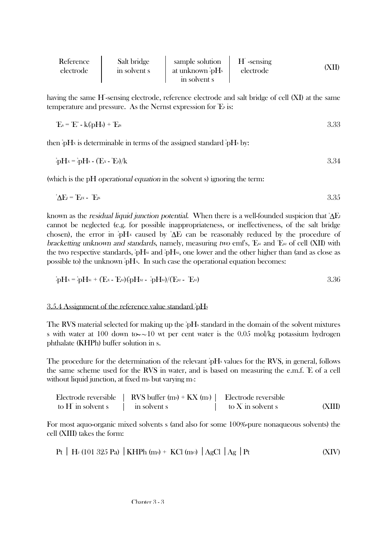| Reference<br>electrode | Salt bridge<br>in solvent s | sample solution<br>at unknown spHs<br>in solvent s | $H^*$ -sensing<br>electrode |  |
|------------------------|-----------------------------|----------------------------------------------------|-----------------------------|--|

having the same H<sup>-</sup>sensing electrode, reference electrode and salt bridge of cell (XI) at the same temperature and pressure. As the Nernst expression for  $E$  is:

$$
{}^{\circ}\mathbf{E}_{s} = {}^{\circ}\mathbf{E}^{\circ} - \mathbf{k}({}^{\circ}_{s}\mathbf{p}\mathbf{H}_{s}) + {}^{\circ}\mathbf{E}_{s}
$$

then  $\oint H \times$  is determinable in terms of the assigned standard  $\oint H \times$  by:

$$
{}^s_3\mathbf{p}Hx = {}^s_3\mathbf{p}Hs - (\mathbf{E}x - {}^s\mathbf{E}s)/\mathbf{k}
$$

(which is the pH operational equation in the solvent s) ignoring the term:

$$
{}^{\text{s}}\Delta E = {}^{\text{s}}E_x - {}^{\text{s}}E_x
$$

known as the *residual liquid junction potential*. When there is a well-founded suspicion that  $\Delta E$ cannot be neglected (e.g. for possible inappropriateness, or ineffectiveness, of the salt bridge chosen), the error in  $\partial H^x$  caused by  $\Delta E$  can be reasonably reduced by the procedure of bracketting unknown and standards, namely, measuring two emfs, 'Esi and 'Esi of cell (XII) with the two respective standards,  $\frac{1}{2}pH_s$  and  $\frac{1}{2}pH_s$ , one lower and the other higher than (and as close as possible to) the unknown  $\partial H$ <sup>x</sup>. In such case the operational equation becomes:

$$
{}^{s}_{s}pHx = {}^{s}_{s}pHs1 + (Fx - {}^{s}Fs1)({}^{s}_{s}pHs2 - {}^{s}_{s}pHs1)/(Fs2 - {}^{s}Fs1)
$$

# 3.5.4 Assignment of the reference value standard pHs

The RVS material selected for making up the  $\mathrm{i}pH\mathrm{s}$  standard in the domain of the solvent mixtures s with water at 100 down to  $\sim$ ∼10 wt per cent water is the 0.05 mol/kg potassium hydrogen phthalate (KHPh) buffer solution in s.

The procedure for the determination of the relevant  $\beta$ H<sub>s</sub> values for the RVS, in general, follows the same scheme used for the RVS in water, and is based on measuring the e.m.f. 'E of a cell without liquid junction, at fixed ms but varying  $m$ :

| Electrode reversible | $RVS$ buffer (ms) + $KX$ (ms)   Electrode reversible |                     |        |
|----------------------|------------------------------------------------------|---------------------|--------|
| to H in solvent s    | in solvent s                                         | to $X$ in solvent s | (XIII) |

For most aquo-organic mixed solvents s (and also for some 100%-pure nonaqueous solvents) the cell (XIII) takes the form:

$$
Pt \mid H_2 (101 325 Pa) \mid KHPh (ms) + KCl (me) \mid AgCl \mid Ag \mid Pt
$$
 (XIV)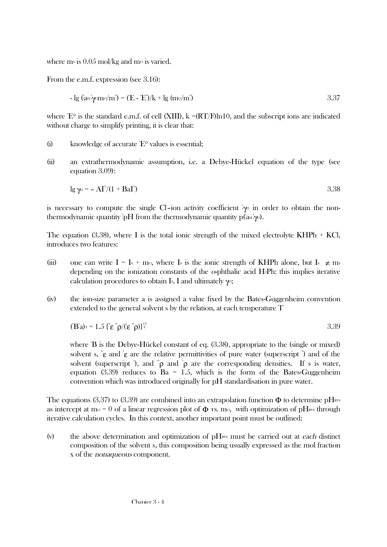where ms is  $0.05$  mol/kg and ma is varied.

From the e.m.f. expression (see 3.16):

$$
- \lg \left( \tan^2 \gamma \sin(\gamma m) \right) = (E - E)/k + \lg \left( m \gamma m \right)
$$

where  $E^{\circ}$  is the standard e.m.f. of cell (XIII), k =(RT/F)ln10, and the subscript ions are indicated without charge to simplify printing, it is clear that:

- (i) knowledge of accurate  $E^{\circ}$  values is essential;
- (ii) an extrathermodynamic assumption, i.e. a Debye-Hückel equation of the type (see equation 3.09):

$$
\lg \gamma^{\alpha} = -A I^{\prime\prime} / (1 + \text{BaI}^{\prime\prime}) \tag{3.38}
$$

is necessary to compute the single CI-ion activity coefficient *i*γa in order to obtain the nonthermodynamic quantity  $\partial H$  from the thermodynamic quantity p( $a_H$ , $\gamma$ o).

The equation (3.38), where I is the total ionic strength of the mixed electrolyte KHPh  $+$  KCl, introduces two features:

- (iii) one can write I = Is + ma, where Is is the ionic strength of KHPh alone, but Is  $\neq$  ms depending on the ionization constants of the o-phthalic acid H2Ph: this implies iterative calculation procedures to obtain Is, I and ultimately  $\gamma$ <sup>c</sup>;
- (iv) the ion-size parameter a is assigned a value fixed by the Bates-Guggenheim convention extended to the general solvent s by the relation, at each temperature T

$$
(\mathbf{B}^{\mathsf{s}}\mathbf{a})_{\mathrm{T}} = 1.5 \left( \mathbf{E}^{\mathrm{w}} \mathbf{p} / (\mathbf{E}^{\mathrm{w}} \mathbf{p}) \right)^{1/2}
$$

where  $\mathbb{\dot{B}}$  is the Debye-Hückel constant of eq. (3.38), appropriate to the (single or mixed) solvent s,  $\mathbb{E}$  and  $\mathbb{E}$  are the relative permittivities of pure water (superscript  $\mathbb{I}$ ) and of the solvent (superscript), and  $\phi$  and  $\phi$  are the corresponding densities. If s is water, equation (3.39) reduces to Ba = 1.5, which is the form of the Bates-Guggenheim convention which was introduced originally for pH standardisation in pure water.

The equations (3.37) to (3.39) are combined into an extrapolation function  $\Phi$  to determine pH<sub>RVS</sub> as intercept at m $\alpha = 0$  of a linear regression plot of  $\Phi$  vs. m $\alpha$ , with optimization of pH<sub>RVS</sub> through iterative calculation cycles. In this context, another important point must be outlined:

(v) the above determination and optimization of  $\rm pH_{\rm RV}$  must be carried out at each distinct composition of the solvent s, this composition being usually expressed as the mol fraction x of the nonaqueous component.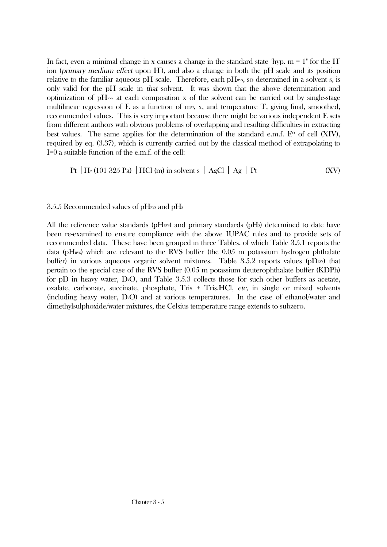In fact, even a minimal change in x causes a change in the standard state "hyp.  $m = 1$ " for the H ion (primary medium effect upon H), and also a change in both the pH scale and its position relative to the familiar aqueous pH scale. Therefore, each  $pH_{\text{RVS}}$ , so determined in a solvent s, is only valid for the pH scale in that solvent. It was shown that the above determination and optimization of  $\rm pH_{\rm wss}$  at each composition x of the solvent can be carried out by single-stage multilinear regression of E as a function of map x, and temperature T, giving final, smoothed, recommended values. This is very important because there might be various independent E sets from different authors with obvious problems of overlapping and resulting difficulties in extracting best values. The same applies for the determination of the standard e.m.f.  $E^{\circ}$  of cell (XIV), required by eq. (3.37), which is currently carried out by the classical method of extrapolating to I=0 a suitable function of the e.m.f. of the cell:

$$
Pt | H2 (101 325 Pa) | HCl (m) in solvent s | AgCl | Ag | Pt
$$
 (XV)

## $3.5.5$  Recommended values of pH<sub>RVS</sub> and pH<sub>s</sub>

All the reference value standards ( $pH<sub>avs</sub>$ ) and primary standards ( $pH<sub>s</sub>$ ) determined to date have been re-examined to ensure compliance with the above IUPAC rules and to provide sets of recommended data. These have been grouped in three Tables, of which Table 3.5.1 reports the data (pH<sub>RVS</sub>) which are relevant to the RVS buffer (the  $0.05$  m potassium hydrogen phthalate buffer) in various aqueous organic solvent mixtures. Table 3.5.2 reports values (pDRVS) that pertain to the special case of the RVS buffer (0.05 m potassium deuterophthalate buffer (KDPh) for pD in heavy water, D<sup>2</sup>O, and Table 3.5.3 collects those for such other buffers as acetate, oxalate, carbonate, succinate, phosphate, Tris + Tris.HCl, etc, in single or mixed solvents (including heavy water, D2O) and at various temperatures. In the case of ethanol/water and dimethylsulphoxide/water mixtures, the Celsius temperature range extends to subzero.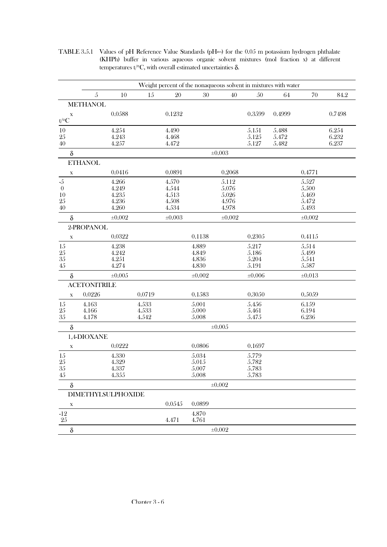TABLE 3.5.1 Values of pH Reference Value Standards (pHRNS) for the 0.05 m potassium hydrogen phthalate (KHPh) buffer in various aqueous organic solvent mixtures (mol fraction x) at different temperatures t/°C, with overall estimated uncertainties  $δ$ .

|                  |                           |             |        |             | Weight percent of the nonaqueous solvent in mixtures with water |             |             |        |             |        |
|------------------|---------------------------|-------------|--------|-------------|-----------------------------------------------------------------|-------------|-------------|--------|-------------|--------|
|                  | $\mathfrak{H}$            | 10          | 15     | 20          | $30\,$                                                          | 40          | 50          | 64     | 70          |        |
|                  | <b>METHANOL</b>           |             |        |             |                                                                 |             |             |        |             |        |
| $\mathbf X$      |                           | 0.0588      |        | 0.1232      |                                                                 |             | 0.3599      | 0.4999 |             | 0.7498 |
| $t/\text{°C}$    |                           |             |        |             |                                                                 |             |             |        |             |        |
| $10\,$           |                           | 4.254       |        | 4.490       |                                                                 |             | 5.151       | 5.488  |             | 6.254  |
| $25\,$           |                           | 4.243       |        | 4.468       |                                                                 |             | 5.125       | 5.472  |             | 6.232  |
| 40               |                           | 4.257       |        | 4.472       |                                                                 |             | 5.127       | 5.482  |             | 6.237  |
| $\delta$         |                           |             |        |             |                                                                 | $\pm 0.003$ |             |        |             |        |
|                  | <b>ETHANOL</b>            |             |        |             |                                                                 |             |             |        |             |        |
| $\mathbf X$      |                           | 0.0416      |        | 0.0891      |                                                                 | 0.2068      |             |        | 0.4771      |        |
| $-5$             |                           | 4.266       |        | 4.570       |                                                                 | 5.112       |             |        | 5.527       |        |
| $\boldsymbol{0}$ |                           | 4.249       |        | 4.544       |                                                                 | $5.076\,$   |             |        | 5.500       |        |
| 10               |                           | 4.235       |        | 4.513       |                                                                 | 5.026       |             |        | 5.469       |        |
| 25               |                           | 4.236       |        | 4.508       |                                                                 | 4.976       |             |        | 5.472       |        |
| 40               |                           | 4.260       |        | 4.534       |                                                                 | 4.978       |             |        | 5.493       |        |
| $\delta$         |                           | $\pm 0.002$ |        | $\pm 0.003$ |                                                                 | $\pm 0.002$ |             |        | $\pm 0.002$ |        |
|                  | 2-PROPANOL                |             |        |             |                                                                 |             |             |        |             |        |
| $\mathbf X$      |                           | 0.0322      |        |             | 0.1138                                                          |             | 0.2305      |        | 0.4115      |        |
| 15               |                           | 4.238       |        |             | 4.889                                                           |             | 5.217       |        | 5.514       |        |
| $25\,$           |                           | 4.242       |        |             | 4.849                                                           |             | 5.186       |        | 5.499       |        |
| $35\,$           |                           | 4.251       |        |             | 4.836                                                           |             | 5.204       |        | 5.541       |        |
| $45\,$           |                           | 4.274       |        |             | 4.830                                                           |             | 5.191       |        | 5.587       |        |
| $\delta$         |                           | $\pm 0.005$ |        |             | $\pm 0.002$                                                     |             | $\pm 0.006$ |        | $\pm 0.013$ |        |
|                  | <b>ACETONITRILE</b>       |             |        |             |                                                                 |             |             |        |             |        |
| $\mathbf X$      | 0.0226                    |             | 0.0719 |             | 0.1583                                                          |             | 0.3050      |        | 0.5059      |        |
| 15               | 4.163                     |             | 4.533  |             | 5.001                                                           |             | 5.456       |        | 6.159       |        |
| $25\,$           | 4.166                     |             | 4.533  |             | 5.000                                                           |             | 5.461       |        | 6.194       |        |
| 35               | 4.178                     |             | 4.542  |             | 5.008                                                           |             | 5.475       |        | 6.236       |        |
| $\delta$         |                           |             |        |             |                                                                 | $\pm 0.005$ |             |        |             |        |
|                  | 1,4-DIOXANE               |             |        |             |                                                                 |             |             |        |             |        |
| $\mathbf X$      |                           | 0.0222      |        |             | 0.0806                                                          |             | 0.1697      |        |             |        |
| $15\,$           |                           | 4.330       |        |             | 5.034                                                           |             | 5.779       |        |             |        |
| $25\,$           |                           | 4.329       |        |             | 5.015                                                           |             | 5.782       |        |             |        |
| $35\,$           |                           | 4.337       |        |             | 5.007                                                           |             | 5.783       |        |             |        |
| 45               |                           | 4.355       |        |             | 5.008                                                           |             | 5.783       |        |             |        |
| $\delta$         |                           |             |        |             |                                                                 | $\pm 0.002$ |             |        |             |        |
|                  | <b>DIMETHYLSULPHOXIDE</b> |             |        |             |                                                                 |             |             |        |             |        |
| $\mathbf X$      |                           |             |        | 0.0545      | 0.0899                                                          |             |             |        |             |        |
| $-12$            |                           |             |        |             | 4.870                                                           |             |             |        |             |        |
| 25               |                           |             |        | 4.471       | 4.761                                                           |             |             |        |             |        |
| $\delta$         |                           |             |        |             |                                                                 | $\pm 0.002$ |             |        |             |        |
|                  |                           |             |        |             |                                                                 |             |             |        |             |        |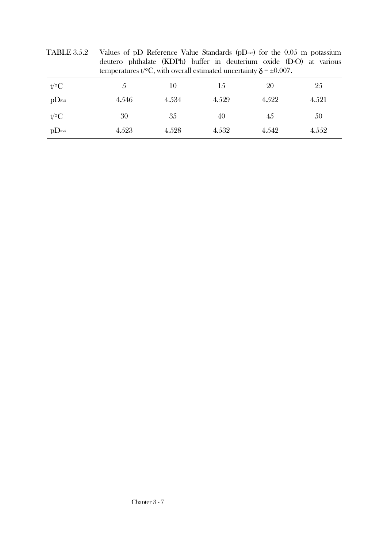|                      | deutero phthalate (KDPh) buffer in deuterium oxide $(D2O)$ at various<br>temperatures t/ $\rm{^{\circ}C}$ , with overall estimated uncertainty $\delta$ = $\pm$ 0.007. |       |       |       |       |
|----------------------|------------------------------------------------------------------------------------------------------------------------------------------------------------------------|-------|-------|-------|-------|
| $t$ /°C              | $\mathcal{C}$                                                                                                                                                          | 10    | 15    | 20    | 25    |
| $p$ D <sub>RVS</sub> | 4.546                                                                                                                                                                  | 4.534 | 4.529 | 4.522 | 4.521 |
| $t$ /°C              | 30                                                                                                                                                                     | 35    | 40    | 45    | 50    |
| pD <sub>RVS</sub>    | 4.523                                                                                                                                                                  | 4.528 | 4.532 | 4.542 | 4.552 |

TABLE 3.5.2 Values of pD Reference Value Standards (pDRVS) for the  $0.05$  m potassium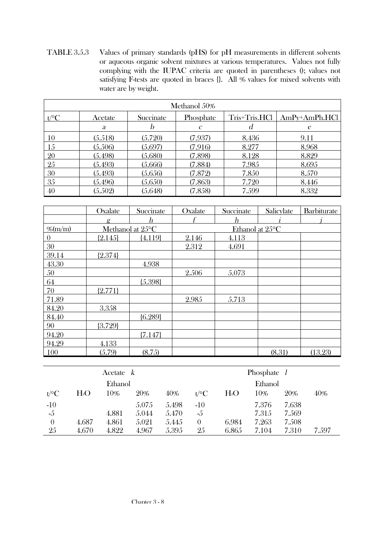TABLE 3.5.3 Values of primary standards (pHS) for pH measurements in different solvents or aqueous organic solvent mixtures at various temperatures. Values not fully complying with the IUPAC criteria are quoted in parentheses (); values not satisfying F-tests are quoted in braces {}. All % values for mixed solvents with water are by weight.

| Methanol 50% |         |           |               |               |                 |  |  |  |  |
|--------------|---------|-----------|---------------|---------------|-----------------|--|--|--|--|
| $t$ /°C      | Acetate | Succinate | Phosphate     | Tris+Tris.HCl | $AmPy+AmPh.HCl$ |  |  |  |  |
|              | a       |           | $\mathcal{C}$ | d             | e               |  |  |  |  |
| 10           | (5.518) | (5.720)   | (7.937)       | 8.436         | 9.11            |  |  |  |  |
| 15           | (5.506) | (5.697)   | (7.916)       | 8.277         | 8.968           |  |  |  |  |
| 20           | (5.498) | (5.680)   | (7.898)       | 8.128         | 8.829           |  |  |  |  |
| 25           | (5.493) | (5.666)   | (7.884)       | 7.985         | 8.695           |  |  |  |  |
| 30           | (5.493) | (5.656)   | (7.872)       | 7.850         | 8.570           |  |  |  |  |
| 35           | (5.496) | (5.650)   | (7.863)       | 7.720         | 8.446           |  |  |  |  |
| 40           | (5.502) | (5.648)   | (7.858)       | 7.599         | 8.332           |  |  |  |  |

|           | Oxalate   | Succinate        | Oxalate | Succinate       | Salicylate | Barbiturate |
|-----------|-----------|------------------|---------|-----------------|------------|-------------|
|           | g         | h                |         | h               |            |             |
| $%$ (m/m) |           | Methanol at 25°C |         | Ethanol at 25°C |            |             |
| 0         | ${2.145}$ | ${4.119}$        | 2.146   | 4.113           |            |             |
| 30        |           |                  | 2.312   | 4.691           |            |             |
| 39.14     | ${2.374}$ |                  |         |                 |            |             |
| 43.30     |           | 4.938            |         |                 |            |             |
| 50        |           |                  | 2.506   | 5.073           |            |             |
| 64        |           | ${5.398}$        |         |                 |            |             |
| 70        | ${2.771}$ |                  |         |                 |            |             |
| 71.89     |           |                  | 2.985   | 5.713           |            |             |
| 84.20     | 3.358     |                  |         |                 |            |             |
| 84.40     |           | ${6.289}$        |         |                 |            |             |
| 90        | ${3.729}$ |                  |         |                 |            |             |
| 94.20     |           | ${7.147}$        |         |                 |            |             |
| 94.29     | 4.133     |                  |         |                 |            |             |
| 100       | (5.79)    | (8.75)           |         |                 | (8.31)     | (13.23)     |

|          |        | Acetate $k$ |       |       |          |        | Phosphate |       |       |
|----------|--------|-------------|-------|-------|----------|--------|-----------|-------|-------|
|          |        | Ethanol     |       |       |          |        | Ethanol   |       |       |
| $t$ /°C  | $H_2O$ | 10%         | 20%   | 40%   | $t$ /°C  | $H_2O$ | 10%       | 20%   | 40%   |
| $-10$    |        |             | 5.075 | 5.498 | $-10$    |        | 7.376     | 7.638 |       |
| $-5$     |        | 4.881       | 5.044 | 5.470 | $-5$     |        | 7.315     | 7.569 |       |
| $\theta$ | 4.687  | 4.861       | 5.021 | 5.445 | $\theta$ | 6.984  | 7.263     | 7.508 |       |
| 25       | 4.670  | 4.822       | 4.967 | 5.395 | 25       | 6.865  | 7.104     | 7.310 | 7.597 |